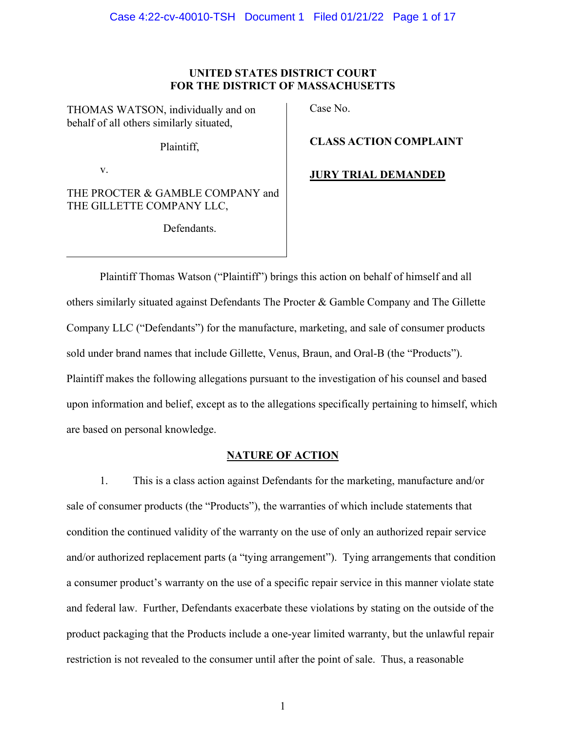## **UNITED STATES DISTRICT COURT FOR THE DISTRICT OF MASSACHUSETTS**

THOMAS WATSON, individually and on behalf of all others similarly situated,

Plaintiff,

v.

THE PROCTER & GAMBLE COMPANY and THE GILLETTE COMPANY LLC,

Defendants.

Case No.

**CLASS ACTION COMPLAINT**

**JURY TRIAL DEMANDED**

Plaintiff Thomas Watson ("Plaintiff") brings this action on behalf of himself and all others similarly situated against Defendants The Procter & Gamble Company and The Gillette Company LLC ("Defendants") for the manufacture, marketing, and sale of consumer products sold under brand names that include Gillette, Venus, Braun, and Oral-B (the "Products"). Plaintiff makes the following allegations pursuant to the investigation of his counsel and based upon information and belief, except as to the allegations specifically pertaining to himself, which are based on personal knowledge.

# **NATURE OF ACTION**

1. This is a class action against Defendants for the marketing, manufacture and/or sale of consumer products (the "Products"), the warranties of which include statements that condition the continued validity of the warranty on the use of only an authorized repair service and/or authorized replacement parts (a "tying arrangement"). Tying arrangements that condition a consumer product's warranty on the use of a specific repair service in this manner violate state and federal law. Further, Defendants exacerbate these violations by stating on the outside of the product packaging that the Products include a one-year limited warranty, but the unlawful repair restriction is not revealed to the consumer until after the point of sale. Thus, a reasonable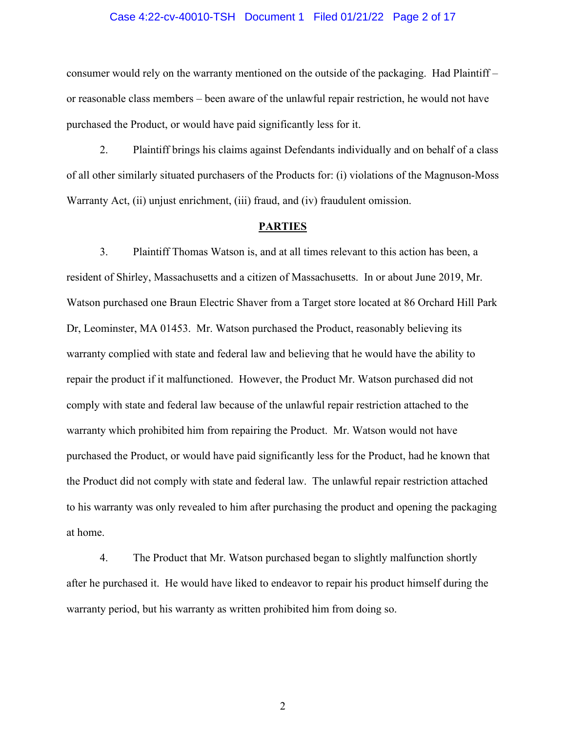### Case 4:22-cv-40010-TSH Document 1 Filed 01/21/22 Page 2 of 17

consumer would rely on the warranty mentioned on the outside of the packaging. Had Plaintiff – or reasonable class members – been aware of the unlawful repair restriction, he would not have purchased the Product, or would have paid significantly less for it.

2. Plaintiff brings his claims against Defendants individually and on behalf of a class of all other similarly situated purchasers of the Products for: (i) violations of the Magnuson-Moss Warranty Act, (ii) unjust enrichment, (iii) fraud, and (iv) fraudulent omission.

#### **PARTIES**

3. Plaintiff Thomas Watson is, and at all times relevant to this action has been, a resident of Shirley, Massachusetts and a citizen of Massachusetts. In or about June 2019, Mr. Watson purchased one Braun Electric Shaver from a Target store located at 86 Orchard Hill Park Dr, Leominster, MA 01453. Mr. Watson purchased the Product, reasonably believing its warranty complied with state and federal law and believing that he would have the ability to repair the product if it malfunctioned. However, the Product Mr. Watson purchased did not comply with state and federal law because of the unlawful repair restriction attached to the warranty which prohibited him from repairing the Product. Mr. Watson would not have purchased the Product, or would have paid significantly less for the Product, had he known that the Product did not comply with state and federal law. The unlawful repair restriction attached to his warranty was only revealed to him after purchasing the product and opening the packaging at home.

4. The Product that Mr. Watson purchased began to slightly malfunction shortly after he purchased it. He would have liked to endeavor to repair his product himself during the warranty period, but his warranty as written prohibited him from doing so.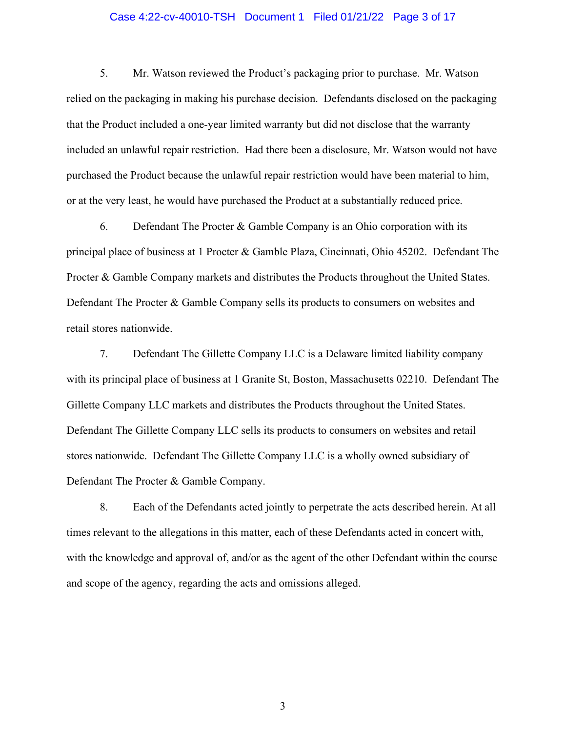## Case 4:22-cv-40010-TSH Document 1 Filed 01/21/22 Page 3 of 17

5. Mr. Watson reviewed the Product's packaging prior to purchase. Mr. Watson relied on the packaging in making his purchase decision. Defendants disclosed on the packaging that the Product included a one-year limited warranty but did not disclose that the warranty included an unlawful repair restriction. Had there been a disclosure, Mr. Watson would not have purchased the Product because the unlawful repair restriction would have been material to him, or at the very least, he would have purchased the Product at a substantially reduced price.

6. Defendant The Procter  $&$  Gamble Company is an Ohio corporation with its principal place of business at 1 Procter & Gamble Plaza, Cincinnati, Ohio 45202. Defendant The Procter & Gamble Company markets and distributes the Products throughout the United States. Defendant The Procter & Gamble Company sells its products to consumers on websites and retail stores nationwide.

7. Defendant The Gillette Company LLC is a Delaware limited liability company with its principal place of business at 1 Granite St, Boston, Massachusetts 02210. Defendant The Gillette Company LLC markets and distributes the Products throughout the United States. Defendant The Gillette Company LLC sells its products to consumers on websites and retail stores nationwide. Defendant The Gillette Company LLC is a wholly owned subsidiary of Defendant The Procter & Gamble Company.

8. Each of the Defendants acted jointly to perpetrate the acts described herein. At all times relevant to the allegations in this matter, each of these Defendants acted in concert with, with the knowledge and approval of, and/or as the agent of the other Defendant within the course and scope of the agency, regarding the acts and omissions alleged.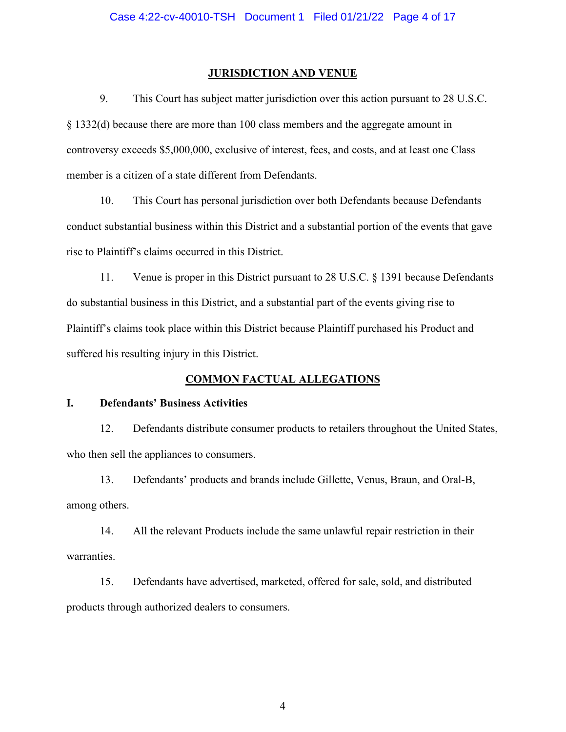## **JURISDICTION AND VENUE**

9. This Court has subject matter jurisdiction over this action pursuant to 28 U.S.C. § 1332(d) because there are more than 100 class members and the aggregate amount in controversy exceeds \$5,000,000, exclusive of interest, fees, and costs, and at least one Class member is a citizen of a state different from Defendants.

10. This Court has personal jurisdiction over both Defendants because Defendants conduct substantial business within this District and a substantial portion of the events that gave rise to Plaintiff's claims occurred in this District.

11. Venue is proper in this District pursuant to 28 U.S.C. § 1391 because Defendants do substantial business in this District, and a substantial part of the events giving rise to Plaintiff's claims took place within this District because Plaintiff purchased his Product and suffered his resulting injury in this District.

# **COMMON FACTUAL ALLEGATIONS**

## **I. Defendants' Business Activities**

12. Defendants distribute consumer products to retailers throughout the United States, who then sell the appliances to consumers.

13. Defendants' products and brands include Gillette, Venus, Braun, and Oral-B, among others.

14. All the relevant Products include the same unlawful repair restriction in their warranties.

15. Defendants have advertised, marketed, offered for sale, sold, and distributed products through authorized dealers to consumers.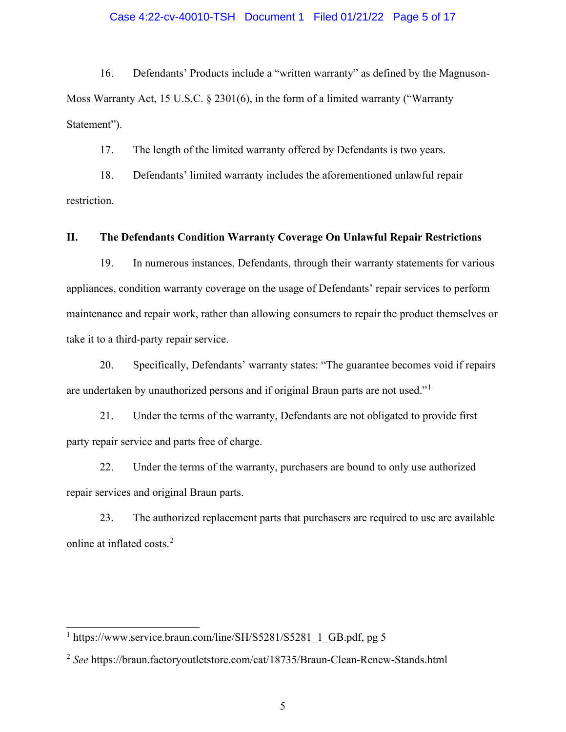## Case 4:22-cv-40010-TSH Document 1 Filed 01/21/22 Page 5 of 17

16. Defendants' Products include a "written warranty" as defined by the Magnuson-Moss Warranty Act, 15 U.S.C. § 2301(6), in the form of a limited warranty ("Warranty Statement").

17. The length of the limited warranty offered by Defendants is two years.

18. Defendants' limited warranty includes the aforementioned unlawful repair restriction.

## **II. The Defendants Condition Warranty Coverage On Unlawful Repair Restrictions**

19. In numerous instances, Defendants, through their warranty statements for various appliances, condition warranty coverage on the usage of Defendants' repair services to perform maintenance and repair work, rather than allowing consumers to repair the product themselves or take it to a third-party repair service.

20. Specifically, Defendants' warranty states: "The guarantee becomes void if repairs are undertaken by unauthorized persons and if original Braun parts are not used."[1](#page-4-0)

21. Under the terms of the warranty, Defendants are not obligated to provide first party repair service and parts free of charge.

22. Under the terms of the warranty, purchasers are bound to only use authorized repair services and original Braun parts.

23. The authorized replacement parts that purchasers are required to use are available online at inflated costs. [2](#page-4-1)

<span id="page-4-0"></span><sup>&</sup>lt;sup>1</sup> https://www.service.braun.com/line/SH/S5281/S5281\_1\_GB.pdf, pg 5

<span id="page-4-1"></span><sup>2</sup> *See* https://braun.factoryoutletstore.com/cat/18735/Braun-Clean-Renew-Stands.html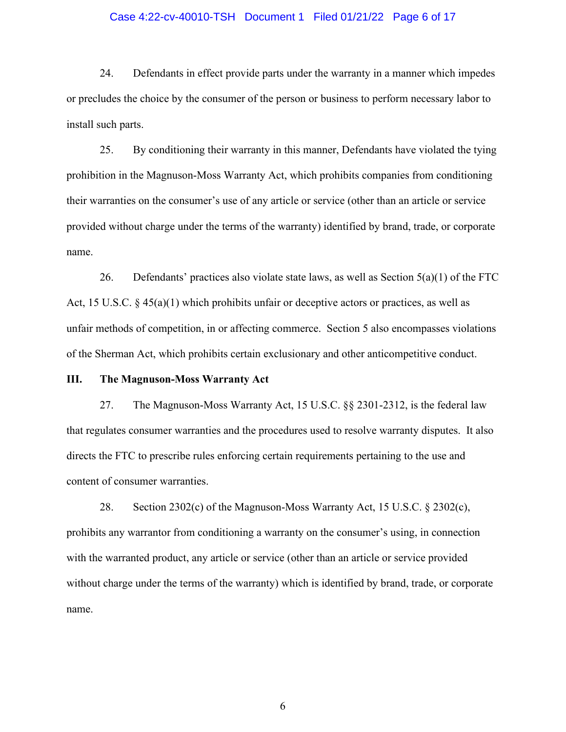## Case 4:22-cv-40010-TSH Document 1 Filed 01/21/22 Page 6 of 17

24. Defendants in effect provide parts under the warranty in a manner which impedes or precludes the choice by the consumer of the person or business to perform necessary labor to install such parts.

25. By conditioning their warranty in this manner, Defendants have violated the tying prohibition in the Magnuson-Moss Warranty Act, which prohibits companies from conditioning their warranties on the consumer's use of any article or service (other than an article or service provided without charge under the terms of the warranty) identified by brand, trade, or corporate name.

26. Defendants' practices also violate state laws, as well as Section  $5(a)(1)$  of the FTC Act, 15 U.S.C. § 45(a)(1) which prohibits unfair or deceptive actors or practices, as well as unfair methods of competition, in or affecting commerce. Section 5 also encompasses violations of the Sherman Act, which prohibits certain exclusionary and other anticompetitive conduct.

## **III. The Magnuson-Moss Warranty Act**

27. The Magnuson-Moss Warranty Act, 15 U.S.C. §§ 2301-2312, is the federal law that regulates consumer warranties and the procedures used to resolve warranty disputes. It also directs the FTC to prescribe rules enforcing certain requirements pertaining to the use and content of consumer warranties.

28. Section 2302(c) of the Magnuson-Moss Warranty Act, 15 U.S.C. § 2302(c), prohibits any warrantor from conditioning a warranty on the consumer's using, in connection with the warranted product, any article or service (other than an article or service provided without charge under the terms of the warranty) which is identified by brand, trade, or corporate name.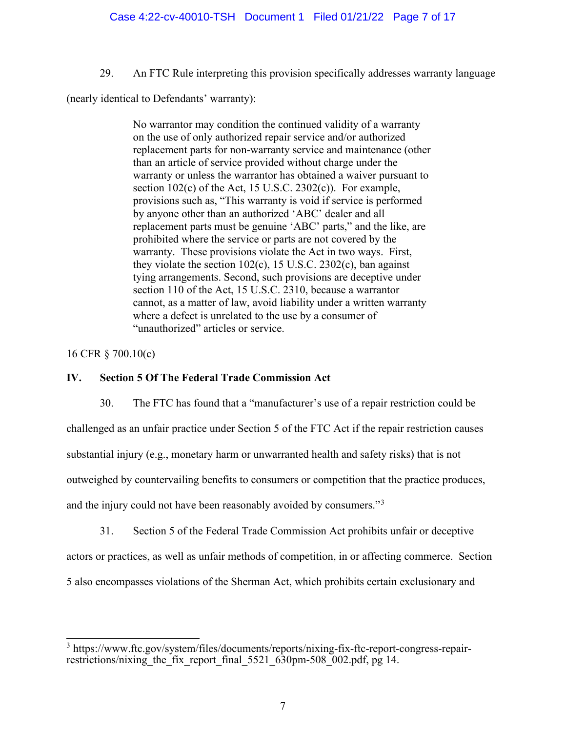29. An FTC Rule interpreting this provision specifically addresses warranty language

(nearly identical to Defendants' warranty):

No warrantor may condition the continued validity of a warranty on the use of only authorized repair service and/or authorized replacement parts for non-warranty service and maintenance (other than an article of service provided without charge under the warranty or unless the warrantor has obtained a waiver pursuant to section 102(c) of the Act, 15 U.S.C. 2302(c)). For example, provisions such as, "This warranty is void if service is performed by anyone other than an authorized 'ABC' dealer and all replacement parts must be genuine 'ABC' parts," and the like, are prohibited where the service or parts are not covered by the warranty. These provisions violate the Act in two ways. First, they violate the section  $102(c)$ , 15 U.S.C. 2302(c), ban against tying arrangements. Second, such provisions are deceptive under section 110 of the Act, 15 U.S.C. 2310, because a warrantor cannot, as a matter of law, avoid liability under a written warranty where a defect is unrelated to the use by a consumer of "unauthorized" articles or service.

# 16 CFR § 700.10(c)

## **IV. Section 5 Of The Federal Trade Commission Act**

30. The FTC has found that a "manufacturer's use of a repair restriction could be challenged as an unfair practice under Section 5 of the FTC Act if the repair restriction causes substantial injury (e.g., monetary harm or unwarranted health and safety risks) that is not outweighed by countervailing benefits to consumers or competition that the practice produces, and the injury could not have been reasonably avoided by consumers."[3](#page-6-0)

31. Section 5 of the Federal Trade Commission Act prohibits unfair or deceptive actors or practices, as well as unfair methods of competition, in or affecting commerce. Section 5 also encompasses violations of the Sherman Act, which prohibits certain exclusionary and

<span id="page-6-0"></span><sup>&</sup>lt;sup>3</sup> https://www.ftc.gov/system/files/documents/reports/nixing-fix-ftc-report-congress-repairrestrictions/nixing the fix report final 5521 630pm-508 002.pdf, pg 14.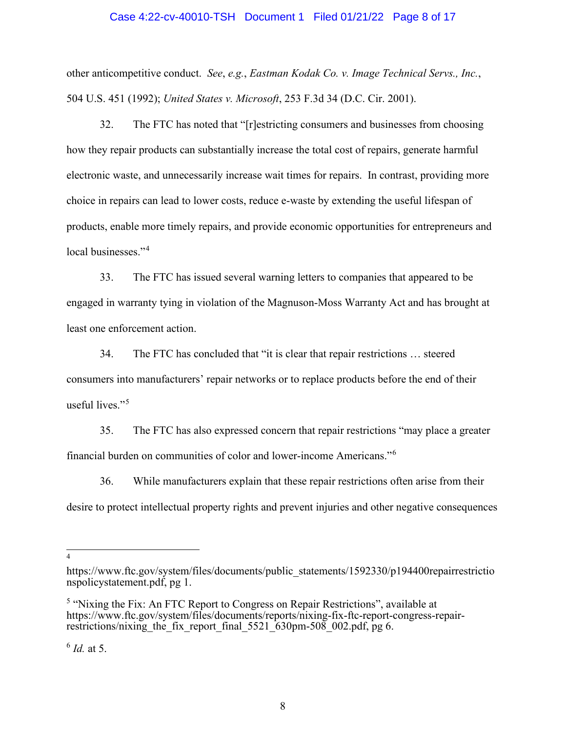## Case 4:22-cv-40010-TSH Document 1 Filed 01/21/22 Page 8 of 17

other anticompetitive conduct. *See*, *e.g.*, *Eastman Kodak Co. v. Image Technical Servs., Inc.*, 504 U.S. 451 (1992); *United States v. Microsoft*, 253 F.3d 34 (D.C. Cir. 2001).

32. The FTC has noted that "[r]estricting consumers and businesses from choosing how they repair products can substantially increase the total cost of repairs, generate harmful electronic waste, and unnecessarily increase wait times for repairs. In contrast, providing more choice in repairs can lead to lower costs, reduce e-waste by extending the useful lifespan of products, enable more timely repairs, and provide economic opportunities for entrepreneurs and local businesses."<sup>[4](#page-7-0)</sup>

33. The FTC has issued several warning letters to companies that appeared to be engaged in warranty tying in violation of the Magnuson-Moss Warranty Act and has brought at least one enforcement action.

34. The FTC has concluded that "it is clear that repair restrictions … steered consumers into manufacturers' repair networks or to replace products before the end of their useful lives."<sup>[5](#page-7-1)</sup>

35. The FTC has also expressed concern that repair restrictions "may place a greater financial burden on communities of color and lower-income Americans."[6](#page-7-2)

36. While manufacturers explain that these repair restrictions often arise from their desire to protect intellectual property rights and prevent injuries and other negative consequences

4

<span id="page-7-2"></span>6 *Id.* at 5.

<span id="page-7-0"></span>https://www.ftc.gov/system/files/documents/public\_statements/1592330/p194400repairrestrictio nspolicystatement.pdf, pg 1.

<span id="page-7-1"></span><sup>&</sup>lt;sup>5</sup> "Nixing the Fix: An FTC Report to Congress on Repair Restrictions", available at https://www.ftc.gov/system/files/documents/reports/nixing-fix-ftc-report-congress-repairrestrictions/nixing the fix report final  $5521\overline{630}$ pm-508 002.pdf, pg 6.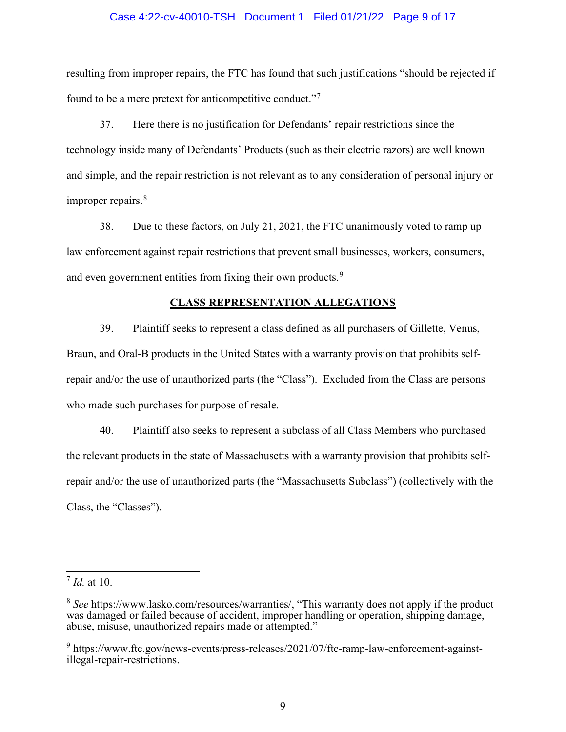## Case 4:22-cv-40010-TSH Document 1 Filed 01/21/22 Page 9 of 17

resulting from improper repairs, the FTC has found that such justifications "should be rejected if found to be a mere pretext for anticompetitive conduct."[7](#page-8-0)

37. Here there is no justification for Defendants' repair restrictions since the technology inside many of Defendants' Products (such as their electric razors) are well known and simple, and the repair restriction is not relevant as to any consideration of personal injury or improper repairs.<sup>[8](#page-8-1)</sup>

38. Due to these factors, on July 21, 2021, the FTC unanimously voted to ramp up law enforcement against repair restrictions that prevent small businesses, workers, consumers, and even government entities from fixing their own products.<sup>[9](#page-8-2)</sup>

## **CLASS REPRESENTATION ALLEGATIONS**

39. Plaintiff seeks to represent a class defined as all purchasers of Gillette, Venus, Braun, and Oral-B products in the United States with a warranty provision that prohibits selfrepair and/or the use of unauthorized parts (the "Class"). Excluded from the Class are persons who made such purchases for purpose of resale.

40. Plaintiff also seeks to represent a subclass of all Class Members who purchased the relevant products in the state of Massachusetts with a warranty provision that prohibits selfrepair and/or the use of unauthorized parts (the "Massachusetts Subclass") (collectively with the Class, the "Classes").

<span id="page-8-0"></span><sup>7</sup> *Id.* at 10.

<span id="page-8-1"></span><sup>&</sup>lt;sup>8</sup> See https://www.lasko.com/resources/warranties/, "This warranty does not apply if the product was damaged or failed because of accident, improper handling or operation, shipping damage, abuse, misuse, unauthorized repairs made or attempted."

<span id="page-8-2"></span><sup>&</sup>lt;sup>9</sup> https://www.ftc.gov/news-events/press-releases/2021/07/ftc-ramp-law-enforcement-againstillegal-repair-restrictions.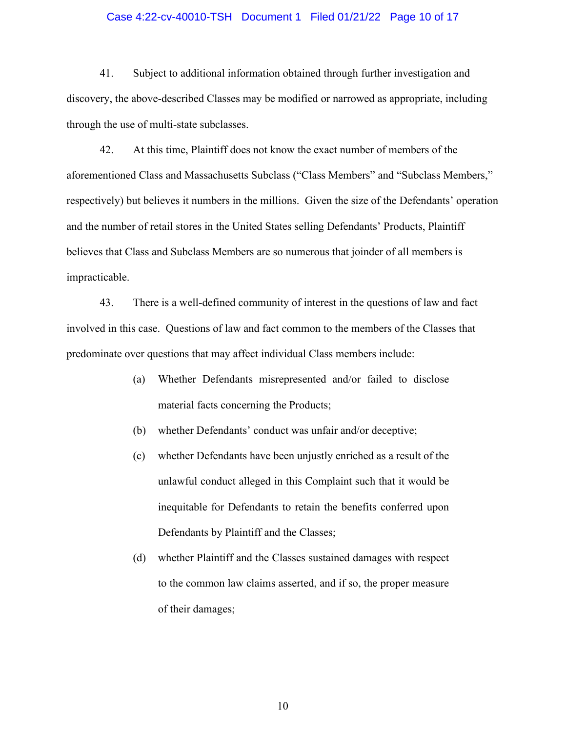#### Case 4:22-cv-40010-TSH Document 1 Filed 01/21/22 Page 10 of 17

41. Subject to additional information obtained through further investigation and discovery, the above-described Classes may be modified or narrowed as appropriate, including through the use of multi-state subclasses.

42. At this time, Plaintiff does not know the exact number of members of the aforementioned Class and Massachusetts Subclass ("Class Members" and "Subclass Members," respectively) but believes it numbers in the millions. Given the size of the Defendants' operation and the number of retail stores in the United States selling Defendants' Products, Plaintiff believes that Class and Subclass Members are so numerous that joinder of all members is impracticable.

43. There is a well-defined community of interest in the questions of law and fact involved in this case. Questions of law and fact common to the members of the Classes that predominate over questions that may affect individual Class members include:

- (a) Whether Defendants misrepresented and/or failed to disclose material facts concerning the Products;
- (b) whether Defendants' conduct was unfair and/or deceptive;
- (c) whether Defendants have been unjustly enriched as a result of the unlawful conduct alleged in this Complaint such that it would be inequitable for Defendants to retain the benefits conferred upon Defendants by Plaintiff and the Classes;
- (d) whether Plaintiff and the Classes sustained damages with respect to the common law claims asserted, and if so, the proper measure of their damages;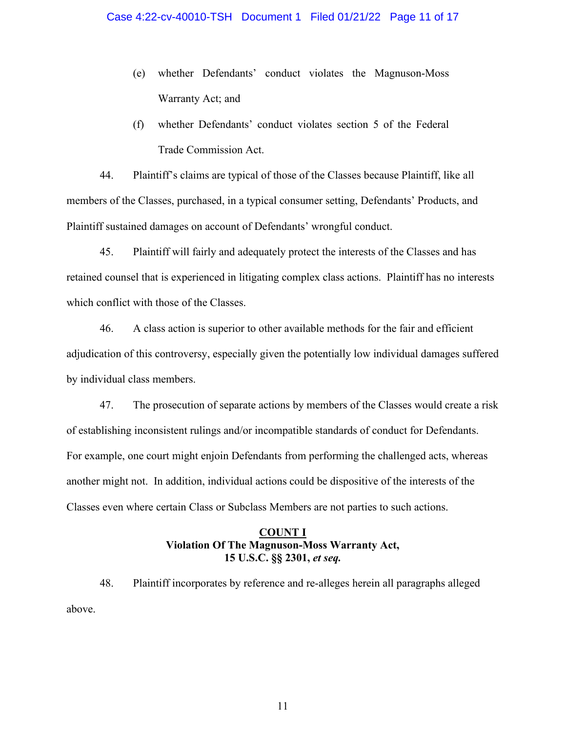- (e) whether Defendants' conduct violates the Magnuson-Moss Warranty Act; and
- (f) whether Defendants' conduct violates section 5 of the Federal Trade Commission Act.

44. Plaintiff's claims are typical of those of the Classes because Plaintiff, like all members of the Classes, purchased, in a typical consumer setting, Defendants' Products, and Plaintiff sustained damages on account of Defendants' wrongful conduct.

45. Plaintiff will fairly and adequately protect the interests of the Classes and has retained counsel that is experienced in litigating complex class actions. Plaintiff has no interests which conflict with those of the Classes.

46. A class action is superior to other available methods for the fair and efficient adjudication of this controversy, especially given the potentially low individual damages suffered by individual class members.

47. The prosecution of separate actions by members of the Classes would create a risk of establishing inconsistent rulings and/or incompatible standards of conduct for Defendants. For example, one court might enjoin Defendants from performing the challenged acts, whereas another might not. In addition, individual actions could be dispositive of the interests of the Classes even where certain Class or Subclass Members are not parties to such actions.

# **COUNT I Violation Of The Magnuson-Moss Warranty Act, 15 U.S.C. §§ 2301,** *et seq.*

48. Plaintiff incorporates by reference and re-alleges herein all paragraphs alleged above.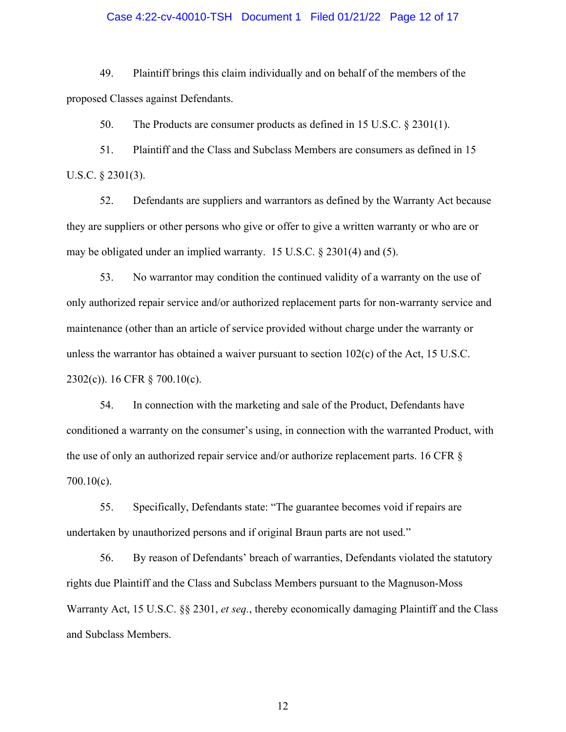## Case 4:22-cv-40010-TSH Document 1 Filed 01/21/22 Page 12 of 17

49. Plaintiff brings this claim individually and on behalf of the members of the proposed Classes against Defendants.

50. The Products are consumer products as defined in 15 U.S.C. § 2301(1).

51. Plaintiff and the Class and Subclass Members are consumers as defined in 15 U.S.C. § 2301(3).

52. Defendants are suppliers and warrantors as defined by the Warranty Act because they are suppliers or other persons who give or offer to give a written warranty or who are or may be obligated under an implied warranty. 15 U.S.C. § 2301(4) and (5).

53. No warrantor may condition the continued validity of a warranty on the use of only authorized repair service and/or authorized replacement parts for non-warranty service and maintenance (other than an article of service provided without charge under the warranty or unless the warrantor has obtained a waiver pursuant to section  $102(c)$  of the Act, 15 U.S.C. 2302(c)). 16 CFR § 700.10(c).

54. In connection with the marketing and sale of the Product, Defendants have conditioned a warranty on the consumer's using, in connection with the warranted Product, with the use of only an authorized repair service and/or authorize replacement parts. 16 CFR § 700.10(c).

55. Specifically, Defendants state: "The guarantee becomes void if repairs are undertaken by unauthorized persons and if original Braun parts are not used."

56. By reason of Defendants' breach of warranties, Defendants violated the statutory rights due Plaintiff and the Class and Subclass Members pursuant to the Magnuson-Moss Warranty Act, 15 U.S.C. §§ 2301, *et seq.*, thereby economically damaging Plaintiff and the Class and Subclass Members.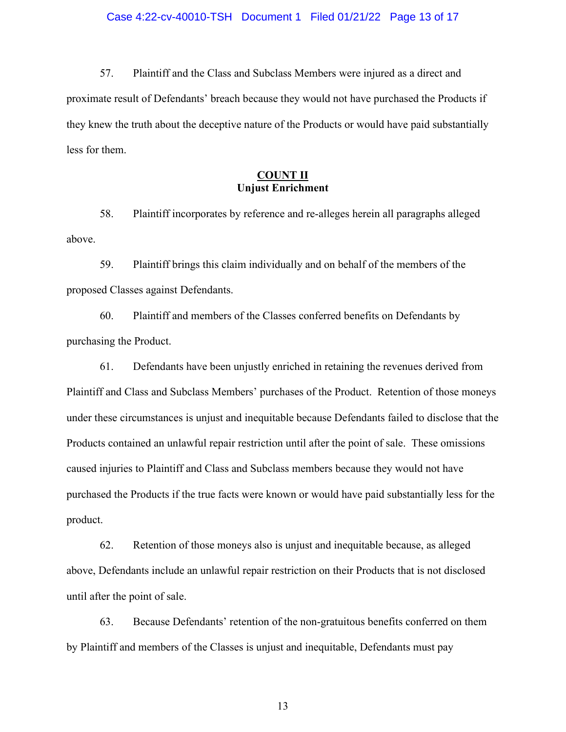57. Plaintiff and the Class and Subclass Members were injured as a direct and proximate result of Defendants' breach because they would not have purchased the Products if they knew the truth about the deceptive nature of the Products or would have paid substantially less for them.

## **COUNT II Unjust Enrichment**

58. Plaintiff incorporates by reference and re-alleges herein all paragraphs alleged above.

59. Plaintiff brings this claim individually and on behalf of the members of the proposed Classes against Defendants.

60. Plaintiff and members of the Classes conferred benefits on Defendants by purchasing the Product.

61. Defendants have been unjustly enriched in retaining the revenues derived from Plaintiff and Class and Subclass Members' purchases of the Product. Retention of those moneys under these circumstances is unjust and inequitable because Defendants failed to disclose that the Products contained an unlawful repair restriction until after the point of sale. These omissions caused injuries to Plaintiff and Class and Subclass members because they would not have purchased the Products if the true facts were known or would have paid substantially less for the product.

62. Retention of those moneys also is unjust and inequitable because, as alleged above, Defendants include an unlawful repair restriction on their Products that is not disclosed until after the point of sale.

63. Because Defendants' retention of the non-gratuitous benefits conferred on them by Plaintiff and members of the Classes is unjust and inequitable, Defendants must pay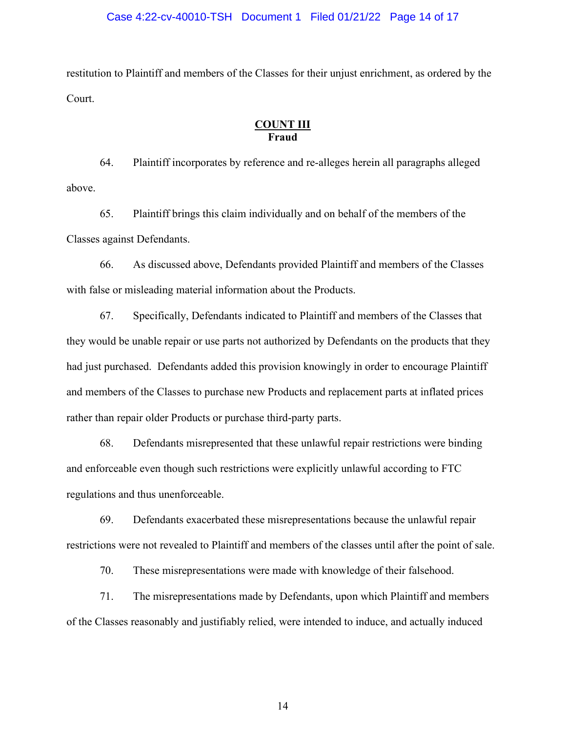## Case 4:22-cv-40010-TSH Document 1 Filed 01/21/22 Page 14 of 17

restitution to Plaintiff and members of the Classes for their unjust enrichment, as ordered by the Court.

## **COUNT III Fraud**

64. Plaintiff incorporates by reference and re-alleges herein all paragraphs alleged above.

65. Plaintiff brings this claim individually and on behalf of the members of the Classes against Defendants.

66. As discussed above, Defendants provided Plaintiff and members of the Classes with false or misleading material information about the Products.

67. Specifically, Defendants indicated to Plaintiff and members of the Classes that they would be unable repair or use parts not authorized by Defendants on the products that they had just purchased. Defendants added this provision knowingly in order to encourage Plaintiff and members of the Classes to purchase new Products and replacement parts at inflated prices rather than repair older Products or purchase third-party parts.

68. Defendants misrepresented that these unlawful repair restrictions were binding and enforceable even though such restrictions were explicitly unlawful according to FTC regulations and thus unenforceable.

69. Defendants exacerbated these misrepresentations because the unlawful repair restrictions were not revealed to Plaintiff and members of the classes until after the point of sale.

70. These misrepresentations were made with knowledge of their falsehood.

71. The misrepresentations made by Defendants, upon which Plaintiff and members of the Classes reasonably and justifiably relied, were intended to induce, and actually induced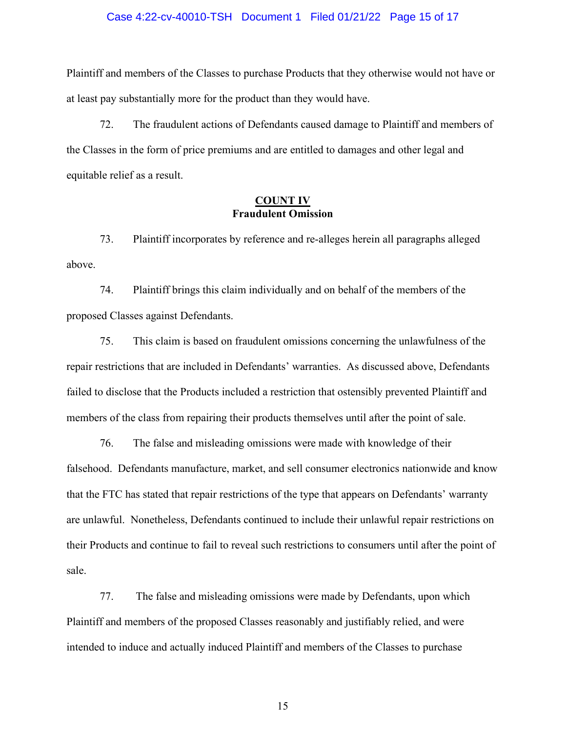### Case 4:22-cv-40010-TSH Document 1 Filed 01/21/22 Page 15 of 17

Plaintiff and members of the Classes to purchase Products that they otherwise would not have or at least pay substantially more for the product than they would have.

72. The fraudulent actions of Defendants caused damage to Plaintiff and members of the Classes in the form of price premiums and are entitled to damages and other legal and equitable relief as a result.

## **COUNT IV Fraudulent Omission**

73. Plaintiff incorporates by reference and re-alleges herein all paragraphs alleged above.

74. Plaintiff brings this claim individually and on behalf of the members of the proposed Classes against Defendants.

75. This claim is based on fraudulent omissions concerning the unlawfulness of the repair restrictions that are included in Defendants' warranties. As discussed above, Defendants failed to disclose that the Products included a restriction that ostensibly prevented Plaintiff and members of the class from repairing their products themselves until after the point of sale.

76. The false and misleading omissions were made with knowledge of their falsehood. Defendants manufacture, market, and sell consumer electronics nationwide and know that the FTC has stated that repair restrictions of the type that appears on Defendants' warranty are unlawful. Nonetheless, Defendants continued to include their unlawful repair restrictions on their Products and continue to fail to reveal such restrictions to consumers until after the point of sale.

77. The false and misleading omissions were made by Defendants, upon which Plaintiff and members of the proposed Classes reasonably and justifiably relied, and were intended to induce and actually induced Plaintiff and members of the Classes to purchase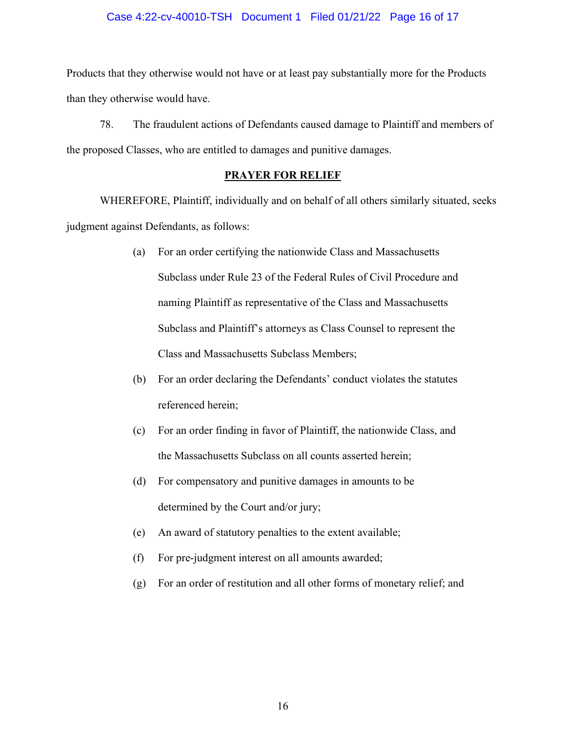## Case 4:22-cv-40010-TSH Document 1 Filed 01/21/22 Page 16 of 17

Products that they otherwise would not have or at least pay substantially more for the Products than they otherwise would have.

78. The fraudulent actions of Defendants caused damage to Plaintiff and members of the proposed Classes, who are entitled to damages and punitive damages.

## **PRAYER FOR RELIEF**

WHEREFORE, Plaintiff, individually and on behalf of all others similarly situated, seeks judgment against Defendants, as follows:

- (a) For an order certifying the nationwide Class and Massachusetts Subclass under Rule 23 of the Federal Rules of Civil Procedure and naming Plaintiff as representative of the Class and Massachusetts Subclass and Plaintiff's attorneys as Class Counsel to represent the Class and Massachusetts Subclass Members;
- (b) For an order declaring the Defendants' conduct violates the statutes referenced herein;
- (c) For an order finding in favor of Plaintiff, the nationwide Class, and the Massachusetts Subclass on all counts asserted herein;
- (d) For compensatory and punitive damages in amounts to be determined by the Court and/or jury;
- (e) An award of statutory penalties to the extent available;
- (f) For pre-judgment interest on all amounts awarded;
- (g) For an order of restitution and all other forms of monetary relief; and